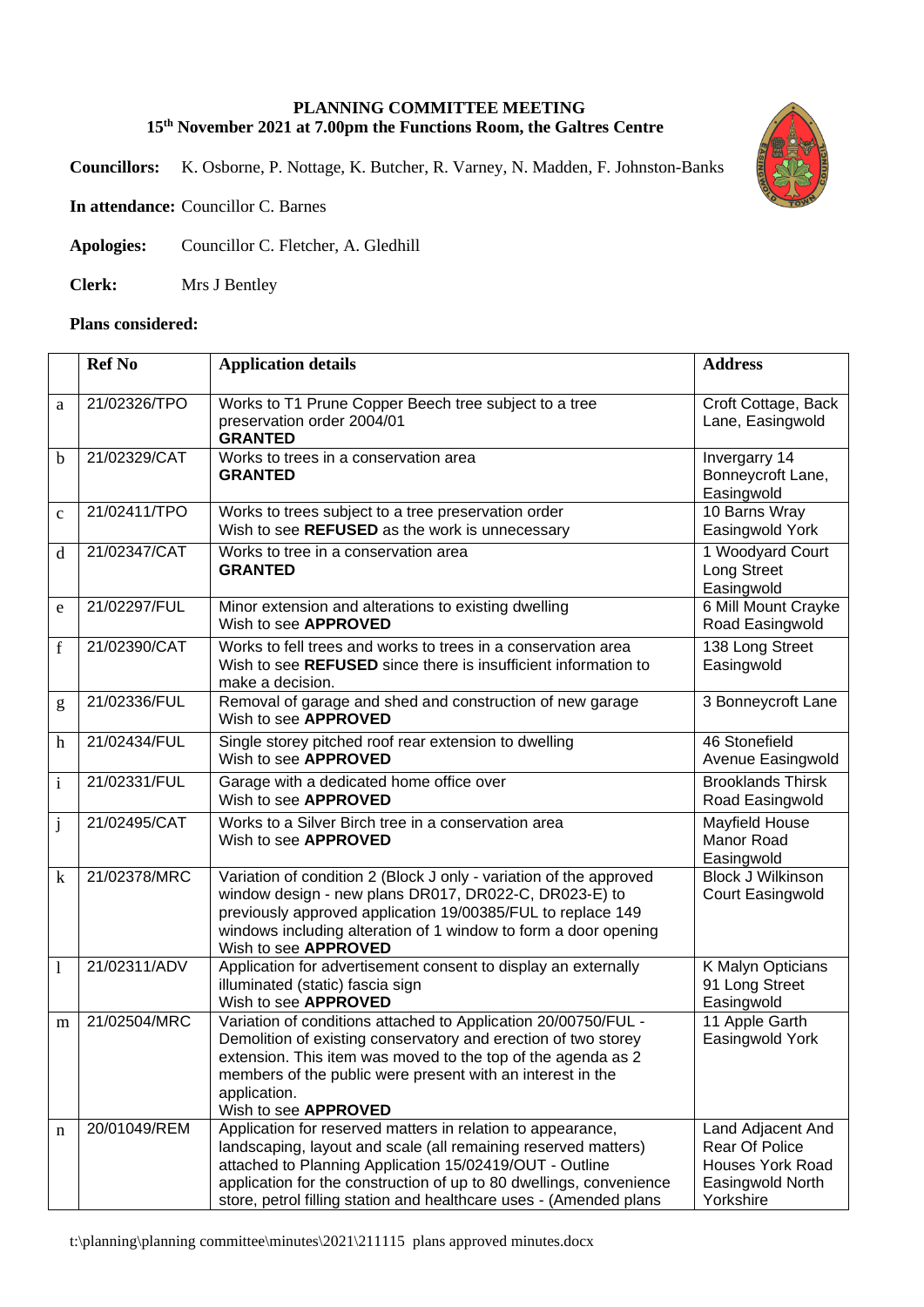## **PLANNING COMMITTEE MEETING 15th November 2021 at 7.00pm the Functions Room, the Galtres Centre**

**Councillors:** K. Osborne, P. Nottage, K. Butcher, R. Varney, N. Madden, F. Johnston-Banks



**In attendance:** Councillor C. Barnes

**Apologies:** Councillor C. Fletcher, A. Gledhill

**Clerk:** Mrs J Bentley

## **Plans considered:**

|                           | <b>Ref No</b> | <b>Application details</b>                                                                                                                                                                                                                                                                                                            | <b>Address</b>                                                                                         |
|---------------------------|---------------|---------------------------------------------------------------------------------------------------------------------------------------------------------------------------------------------------------------------------------------------------------------------------------------------------------------------------------------|--------------------------------------------------------------------------------------------------------|
| a                         | 21/02326/TPO  | Works to T1 Prune Copper Beech tree subject to a tree<br>preservation order 2004/01<br><b>GRANTED</b>                                                                                                                                                                                                                                 | Croft Cottage, Back<br>Lane, Easingwold                                                                |
| $\mathbf b$               | 21/02329/CAT  | Works to trees in a conservation area<br><b>GRANTED</b>                                                                                                                                                                                                                                                                               | Invergarry 14<br>Bonneycroft Lane,<br>Easingwold                                                       |
| $\mathbf{C}$              | 21/02411/TPO  | Works to trees subject to a tree preservation order<br>Wish to see REFUSED as the work is unnecessary                                                                                                                                                                                                                                 | 10 Barns Wray<br>Easingwold York                                                                       |
| d                         | 21/02347/CAT  | Works to tree in a conservation area<br><b>GRANTED</b>                                                                                                                                                                                                                                                                                | 1 Woodyard Court<br><b>Long Street</b><br>Easingwold                                                   |
| e                         | 21/02297/FUL  | Minor extension and alterations to existing dwelling<br>Wish to see APPROVED                                                                                                                                                                                                                                                          | 6 Mill Mount Crayke<br>Road Easingwold                                                                 |
| f                         | 21/02390/CAT  | Works to fell trees and works to trees in a conservation area<br>Wish to see REFUSED since there is insufficient information to<br>make a decision.                                                                                                                                                                                   | 138 Long Street<br>Easingwold                                                                          |
| g                         | 21/02336/FUL  | Removal of garage and shed and construction of new garage<br>Wish to see APPROVED                                                                                                                                                                                                                                                     | 3 Bonneycroft Lane                                                                                     |
| $\boldsymbol{\mathrm{h}}$ | 21/02434/FUL  | Single storey pitched roof rear extension to dwelling<br>Wish to see <b>APPROVED</b>                                                                                                                                                                                                                                                  | 46 Stonefield<br>Avenue Easingwold                                                                     |
| $\mathbf{i}$              | 21/02331/FUL  | Garage with a dedicated home office over<br>Wish to see APPROVED                                                                                                                                                                                                                                                                      | <b>Brooklands Thirsk</b><br>Road Easingwold                                                            |
| $\mathbf{j}$              | 21/02495/CAT  | Works to a Silver Birch tree in a conservation area<br>Wish to see APPROVED                                                                                                                                                                                                                                                           | Mayfield House<br>Manor Road<br>Easingwold                                                             |
| $\bf k$                   | 21/02378/MRC  | Variation of condition 2 (Block J only - variation of the approved<br>window design - new plans DR017, DR022-C, DR023-E) to<br>previously approved application 19/00385/FUL to replace 149<br>windows including alteration of 1 window to form a door opening<br>Wish to see APPROVED                                                 | <b>Block J Wilkinson</b><br>Court Easingwold                                                           |
| 1                         | 21/02311/ADV  | Application for advertisement consent to display an externally<br>illuminated (static) fascia sign<br>Wish to see APPROVED                                                                                                                                                                                                            | K Malyn Opticians<br>91 Long Street<br>Easingwold                                                      |
| m                         | 21/02504/MRC  | Variation of conditions attached to Application 20/00750/FUL -<br>Demolition of existing conservatory and erection of two storey<br>extension. This item was moved to the top of the agenda as 2<br>members of the public were present with an interest in the<br>application.<br>Wish to see APPROVED                                | 11 Apple Garth<br>Easingwold York                                                                      |
| n                         | 20/01049/REM  | Application for reserved matters in relation to appearance,<br>landscaping, layout and scale (all remaining reserved matters)<br>attached to Planning Application 15/02419/OUT - Outline<br>application for the construction of up to 80 dwellings, convenience<br>store, petrol filling station and healthcare uses - (Amended plans | Land Adjacent And<br><b>Rear Of Police</b><br><b>Houses York Road</b><br>Easingwold North<br>Yorkshire |